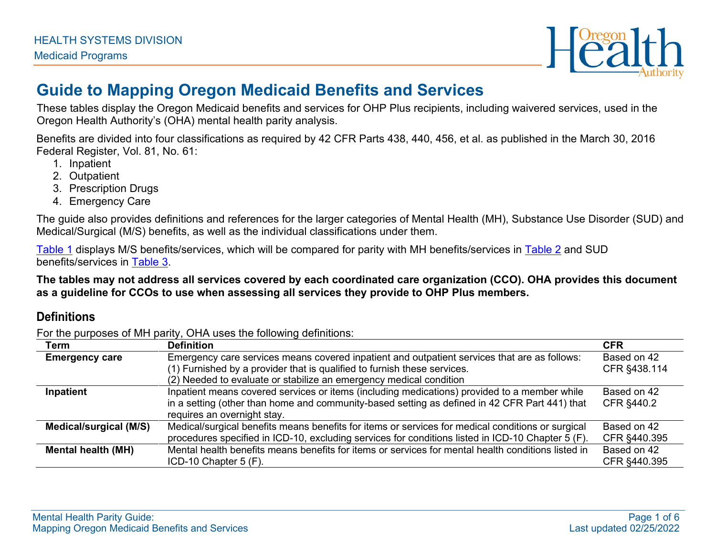

# **Guide to Mapping Oregon Medicaid Benefits and Services**

These tables display the Oregon Medicaid benefits and services for OHP Plus recipients, including waivered services, used in the Oregon Health Authority's (OHA) mental health parity analysis.

Benefits are divided into four classifications as required by 42 CFR Parts 438, 440, 456, et al. as published in the March 30, 2016 Federal Register, Vol. 81, No. 61:

- 1. Inpatient
- 2. Outpatient
- 3. Prescription Drugs
- 4. Emergency Care

The guide also provides definitions and references for the larger categories of Mental Health (MH), Substance Use Disorder (SUD) and Medical/Surgical (M/S) benefits, as well as the individual classifications under them.

[Table 1](#page-1-0) displays M/S benefits/services, which will be compared for parity with MH benefits/services in [Table 2](#page-3-0) and SUD benefits/services in [Table 3.](#page-4-0)

**The tables may not address all services covered by each coordinated care organization (CCO). OHA provides this document as a guideline for CCOs to use when assessing all services they provide to OHP Plus members.**

#### **Definitions**

For the purposes of MH parity, OHA uses the following definitions:

| Term                      | <b>Definition</b>                                                                                  | <b>CFR</b>   |
|---------------------------|----------------------------------------------------------------------------------------------------|--------------|
| <b>Emergency care</b>     | Emergency care services means covered inpatient and outpatient services that are as follows:       | Based on 42  |
|                           | (1) Furnished by a provider that is qualified to furnish these services.                           | CFR §438.114 |
|                           | (2) Needed to evaluate or stabilize an emergency medical condition                                 |              |
| Inpatient                 | Inpatient means covered services or items (including medications) provided to a member while       | Based on 42  |
|                           | in a setting (other than home and community-based setting as defined in 42 CFR Part 441) that      | CFR §440.2   |
|                           | requires an overnight stay.                                                                        |              |
| Medical/surgical (M/S)    | Medical/surgical benefits means benefits for items or services for medical conditions or surgical  | Based on 42  |
|                           | procedures specified in ICD-10, excluding services for conditions listed in ICD-10 Chapter 5 (F).  | CFR §440.395 |
| <b>Mental health (MH)</b> | Mental health benefits means benefits for items or services for mental health conditions listed in | Based on 42  |
|                           | ICD-10 Chapter 5 (F).                                                                              | CFR §440.395 |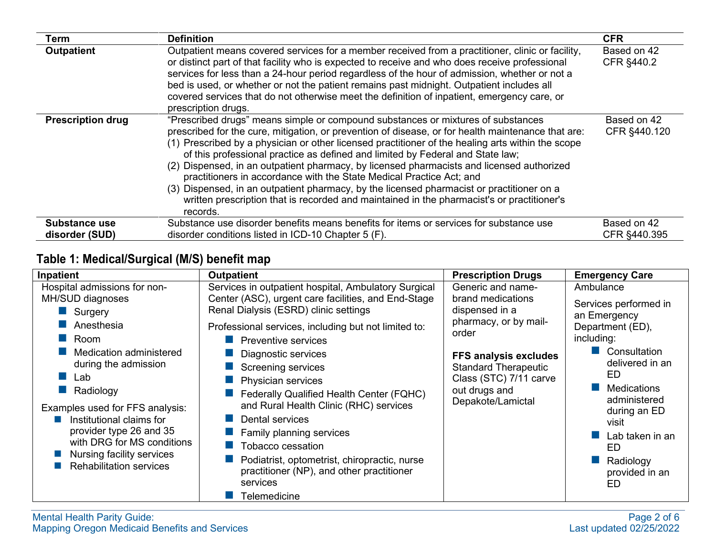| Term                     | <b>Definition</b>                                                                                                                                                                                                                                                                                                                                                                                                                                                                                                                                                                                                                                                                                                                                         | <b>CFR</b>                  |
|--------------------------|-----------------------------------------------------------------------------------------------------------------------------------------------------------------------------------------------------------------------------------------------------------------------------------------------------------------------------------------------------------------------------------------------------------------------------------------------------------------------------------------------------------------------------------------------------------------------------------------------------------------------------------------------------------------------------------------------------------------------------------------------------------|-----------------------------|
| <b>Outpatient</b>        | Outpatient means covered services for a member received from a practitioner, clinic or facility,<br>or distinct part of that facility who is expected to receive and who does receive professional<br>services for less than a 24-hour period regardless of the hour of admission, whether or not a<br>bed is used, or whether or not the patient remains past midnight. Outpatient includes all<br>covered services that do not otherwise meet the definition of inpatient, emergency care, or<br>prescription drugs.                                                                                                                                                                                                                                    | Based on 42<br>CFR §440.2   |
| <b>Prescription drug</b> | "Prescribed drugs" means simple or compound substances or mixtures of substances<br>prescribed for the cure, mitigation, or prevention of disease, or for health maintenance that are:<br>(1) Prescribed by a physician or other licensed practitioner of the healing arts within the scope<br>of this professional practice as defined and limited by Federal and State law;<br>(2) Dispensed, in an outpatient pharmacy, by licensed pharmacists and licensed authorized<br>practitioners in accordance with the State Medical Practice Act; and<br>(3) Dispensed, in an outpatient pharmacy, by the licensed pharmacist or practitioner on a<br>written prescription that is recorded and maintained in the pharmacist's or practitioner's<br>records. | Based on 42<br>CFR §440.120 |
| Substance use            | Substance use disorder benefits means benefits for items or services for substance use                                                                                                                                                                                                                                                                                                                                                                                                                                                                                                                                                                                                                                                                    | Based on 42                 |
| disorder (SUD)           | disorder conditions listed in ICD-10 Chapter 5 (F).                                                                                                                                                                                                                                                                                                                                                                                                                                                                                                                                                                                                                                                                                                       | CFR §440.395                |

### <span id="page-1-0"></span>**Table 1: Medical/Surgical (M/S) benefit map**

| Inpatient                                                                                                                                                                                                                                                                                                                                       | <b>Outpatient</b>                                                                                                                                                                                                                                                                                                                                                                                                                                                                                                                                                                                                      | <b>Prescription Drugs</b>                                                                                                                                                                                                 | <b>Emergency Care</b>                                                                                                                                                                                                                                      |
|-------------------------------------------------------------------------------------------------------------------------------------------------------------------------------------------------------------------------------------------------------------------------------------------------------------------------------------------------|------------------------------------------------------------------------------------------------------------------------------------------------------------------------------------------------------------------------------------------------------------------------------------------------------------------------------------------------------------------------------------------------------------------------------------------------------------------------------------------------------------------------------------------------------------------------------------------------------------------------|---------------------------------------------------------------------------------------------------------------------------------------------------------------------------------------------------------------------------|------------------------------------------------------------------------------------------------------------------------------------------------------------------------------------------------------------------------------------------------------------|
| Hospital admissions for non-<br>MH/SUD diagnoses<br>Surgery<br>Anesthesia<br>Room<br>Medication administered<br>during the admission<br>Lab<br>Radiology<br>Examples used for FFS analysis:<br>Institutional claims for<br>provider type 26 and 35<br>with DRG for MS conditions<br>Nursing facility services<br><b>Rehabilitation services</b> | Services in outpatient hospital, Ambulatory Surgical<br>Center (ASC), urgent care facilities, and End-Stage<br>Renal Dialysis (ESRD) clinic settings<br>Professional services, including but not limited to:<br>Preventive services<br>Diagnostic services<br><b>Screening services</b><br>Physician services<br>Federally Qualified Health Center (FQHC)<br>and Rural Health Clinic (RHC) services<br><b>Dental services</b><br>$\blacksquare$ Family planning services<br>Tobacco cessation<br>Podiatrist, optometrist, chiropractic, nurse<br>practitioner (NP), and other practitioner<br>services<br>Telemedicine | Generic and name-<br>brand medications<br>dispensed in a<br>pharmacy, or by mail-<br>order<br><b>FFS analysis excludes</b><br><b>Standard Therapeutic</b><br>Class (STC) 7/11 carve<br>out drugs and<br>Depakote/Lamictal | Ambulance<br>Services performed in<br>an Emergency<br>Department (ED),<br>including:<br>Consultation<br>delivered in an<br>ED<br><b>Medications</b><br>administered<br>during an ED<br>visit<br>Lab taken in an<br>ED<br>Radiology<br>provided in an<br>ED |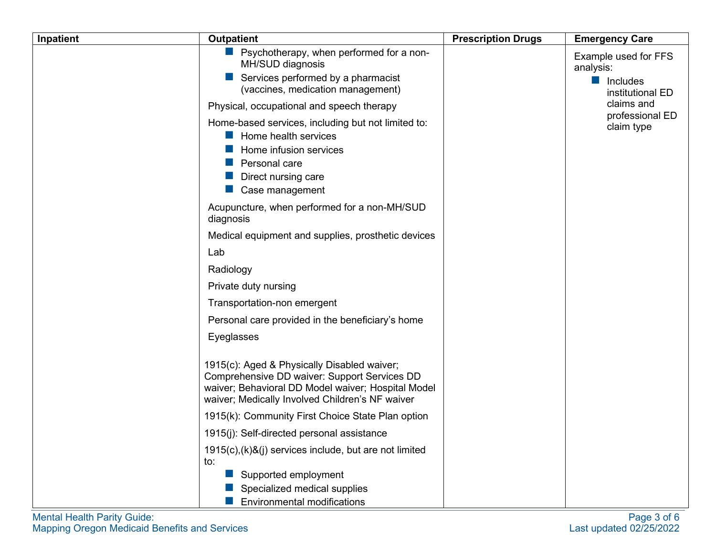| Inpatient | <b>Outpatient</b>                                                                                                                                                                                    | <b>Prescription Drugs</b> | <b>Emergency Care</b>                                                            |
|-----------|------------------------------------------------------------------------------------------------------------------------------------------------------------------------------------------------------|---------------------------|----------------------------------------------------------------------------------|
|           | $\blacksquare$ Psychotherapy, when performed for a non-<br>MH/SUD diagnosis<br>Services performed by a pharmacist<br>(vaccines, medication management)                                               |                           | Example used for FFS<br>analysis:<br>$\blacksquare$ Includes<br>institutional ED |
|           | Physical, occupational and speech therapy                                                                                                                                                            |                           | claims and                                                                       |
|           | Home-based services, including but not limited to:<br>$\blacksquare$ Home health services<br>Home infusion services<br>Personal care<br>Direct nursing care<br>Case management                       |                           | professional ED<br>claim type                                                    |
|           | Acupuncture, when performed for a non-MH/SUD<br>diagnosis                                                                                                                                            |                           |                                                                                  |
|           | Medical equipment and supplies, prosthetic devices                                                                                                                                                   |                           |                                                                                  |
|           | Lab                                                                                                                                                                                                  |                           |                                                                                  |
|           | Radiology                                                                                                                                                                                            |                           |                                                                                  |
|           | Private duty nursing                                                                                                                                                                                 |                           |                                                                                  |
|           | Transportation-non emergent                                                                                                                                                                          |                           |                                                                                  |
|           | Personal care provided in the beneficiary's home                                                                                                                                                     |                           |                                                                                  |
|           | Eyeglasses                                                                                                                                                                                           |                           |                                                                                  |
|           | 1915(c): Aged & Physically Disabled waiver;<br>Comprehensive DD waiver: Support Services DD<br>waiver; Behavioral DD Model waiver; Hospital Model<br>waiver; Medically Involved Children's NF waiver |                           |                                                                                  |
|           | 1915(k): Community First Choice State Plan option                                                                                                                                                    |                           |                                                                                  |
|           | 1915(j): Self-directed personal assistance                                                                                                                                                           |                           |                                                                                  |
|           | 1915(c),(k)&(j) services include, but are not limited<br>to:                                                                                                                                         |                           |                                                                                  |
|           | Supported employment<br>Specialized medical supplies                                                                                                                                                 |                           |                                                                                  |
|           | <b>Environmental modifications</b>                                                                                                                                                                   |                           |                                                                                  |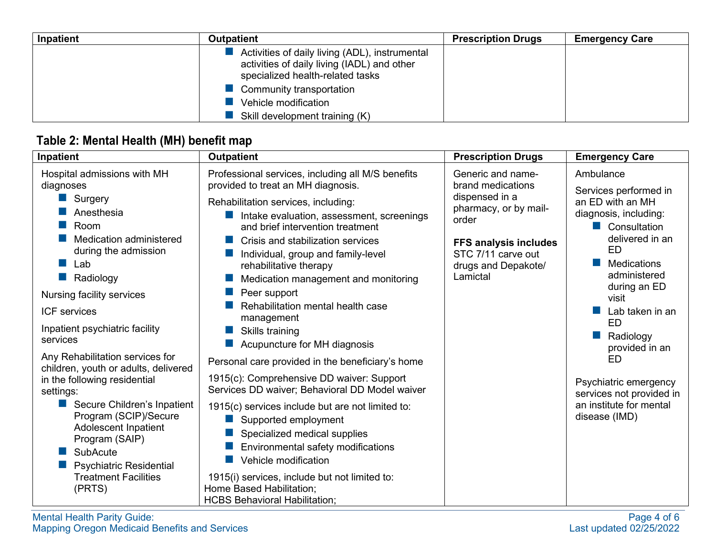| Inpatient | <b>Outpatient</b>                                                                                                                 | <b>Prescription Drugs</b> | <b>Emergency Care</b> |
|-----------|-----------------------------------------------------------------------------------------------------------------------------------|---------------------------|-----------------------|
|           | Activities of daily living (ADL), instrumental<br>activities of daily living (IADL) and other<br>specialized health-related tasks |                           |                       |
|           | Community transportation                                                                                                          |                           |                       |
|           | Vehicle modification                                                                                                              |                           |                       |
|           | Skill development training (K)                                                                                                    |                           |                       |

## <span id="page-3-0"></span>**Table 2: Mental Health (MH) benefit map**

| Inpatient                                                                                                                                                                                                                                                                                                                                                                                                                                                                                                                                                                         | <b>Outpatient</b>                                                                                                                                                                                                                                                                                                                                                                                                                                                                                                                                                                                                                                                                                                                                                                                                                                                                                                                    | <b>Prescription Drugs</b>                                                                                                                                                           | <b>Emergency Care</b>                                                                                                                                                                                                                                                                                                                                                       |
|-----------------------------------------------------------------------------------------------------------------------------------------------------------------------------------------------------------------------------------------------------------------------------------------------------------------------------------------------------------------------------------------------------------------------------------------------------------------------------------------------------------------------------------------------------------------------------------|--------------------------------------------------------------------------------------------------------------------------------------------------------------------------------------------------------------------------------------------------------------------------------------------------------------------------------------------------------------------------------------------------------------------------------------------------------------------------------------------------------------------------------------------------------------------------------------------------------------------------------------------------------------------------------------------------------------------------------------------------------------------------------------------------------------------------------------------------------------------------------------------------------------------------------------|-------------------------------------------------------------------------------------------------------------------------------------------------------------------------------------|-----------------------------------------------------------------------------------------------------------------------------------------------------------------------------------------------------------------------------------------------------------------------------------------------------------------------------------------------------------------------------|
| Hospital admissions with MH<br>diagnoses<br>Surgery<br>Anesthesia<br>Room<br>Medication administered<br>during the admission<br>Lab<br>Radiology<br>Nursing facility services<br><b>ICF</b> services<br>Inpatient psychiatric facility<br>services<br>Any Rehabilitation services for<br>children, youth or adults, delivered<br>in the following residential<br>settings:<br>Secure Children's Inpatient<br>Program (SCIP)/Secure<br><b>Adolescent Inpatient</b><br>Program (SAIP)<br><b>SubAcute</b><br><b>Psychiatric Residential</b><br><b>Treatment Facilities</b><br>(PRTS) | Professional services, including all M/S benefits<br>provided to treat an MH diagnosis.<br>Rehabilitation services, including:<br>Intake evaluation, assessment, screenings<br>and brief intervention treatment<br>Crisis and stabilization services<br>Individual, group and family-level<br>rehabilitative therapy<br>Medication management and monitoring<br>Peer support<br>Rehabilitation mental health case<br>management<br>Skills training<br>Acupuncture for MH diagnosis<br>Personal care provided in the beneficiary's home<br>1915(c): Comprehensive DD waiver: Support<br>Services DD waiver; Behavioral DD Model waiver<br>1915(c) services include but are not limited to:<br>Supported employment<br>Specialized medical supplies<br>Environmental safety modifications<br>Vehicle modification<br>1915(i) services, include but not limited to:<br>Home Based Habilitation;<br><b>HCBS Behavioral Habilitation;</b> | Generic and name-<br>brand medications<br>dispensed in a<br>pharmacy, or by mail-<br>order<br><b>FFS analysis includes</b><br>STC 7/11 carve out<br>drugs and Depakote/<br>Lamictal | Ambulance<br>Services performed in<br>an ED with an MH<br>diagnosis, including:<br>Consultation<br>delivered in an<br><b>ED</b><br><b>Medications</b><br>administered<br>during an ED<br>visit<br>Lab taken in an<br><b>ED</b><br>Radiology<br>provided in an<br><b>ED</b><br>Psychiatric emergency<br>services not provided in<br>an institute for mental<br>disease (IMD) |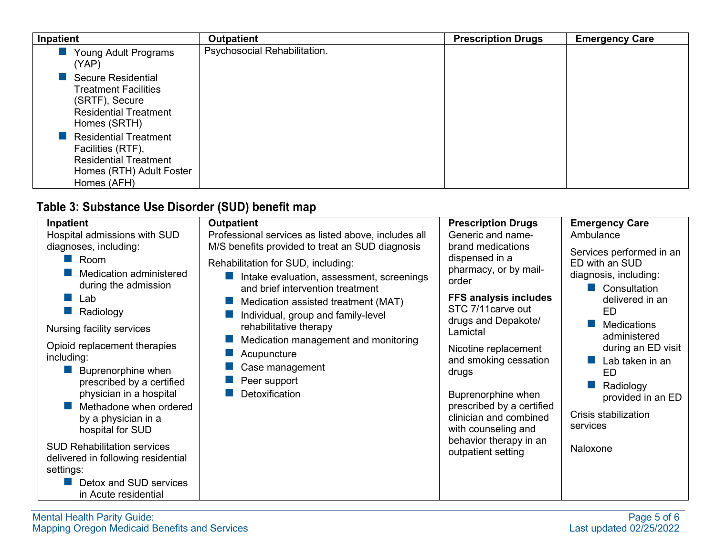| Inpatient                                                                                                                    | <b>Outpatient</b>            | <b>Prescription Drugs</b> | <b>Emergency Care</b> |
|------------------------------------------------------------------------------------------------------------------------------|------------------------------|---------------------------|-----------------------|
| Young Adult Programs<br>(YAP)                                                                                                | Psychosocial Rehabilitation. |                           |                       |
| <b>Secure Residential</b><br><b>Treatment Facilities</b><br>(SRTF), Secure<br><b>Residential Treatment</b><br>Homes (SRTH)   |                              |                           |                       |
| <b>Residential Treatment</b><br>Facilities (RTF),<br><b>Residential Treatment</b><br>Homes (RTH) Adult Foster<br>Homes (AFH) |                              |                           |                       |

#### <span id="page-4-0"></span>**Table 3: Substance Use Disorder (SUD) benefit map**

| Inpatient                                                                                                                                                                                                                                                                                                                | <b>Outpatient</b>                                                                                                                                                                                                                                                                                                                             | <b>Prescription Drugs</b>                                                                                                                                                                                                                                                                               | <b>Emergency Care</b>                                                                                                                                                                                                                                                    |
|--------------------------------------------------------------------------------------------------------------------------------------------------------------------------------------------------------------------------------------------------------------------------------------------------------------------------|-----------------------------------------------------------------------------------------------------------------------------------------------------------------------------------------------------------------------------------------------------------------------------------------------------------------------------------------------|---------------------------------------------------------------------------------------------------------------------------------------------------------------------------------------------------------------------------------------------------------------------------------------------------------|--------------------------------------------------------------------------------------------------------------------------------------------------------------------------------------------------------------------------------------------------------------------------|
| Hospital admissions with SUD<br>diagnoses, including:                                                                                                                                                                                                                                                                    | Professional services as listed above, includes all<br>M/S benefits provided to treat an SUD diagnosis                                                                                                                                                                                                                                        | Generic and name-<br>brand medications                                                                                                                                                                                                                                                                  | Ambulance                                                                                                                                                                                                                                                                |
| $\blacksquare$ Room<br>Medication administered<br>during the admission<br>Lab<br>Radiology<br>Nursing facility services<br>Opioid replacement therapies<br>including:<br>Buprenorphine when<br>prescribed by a certified<br>physician in a hospital<br>Methadone when ordered<br>by a physician in a<br>hospital for SUD | Rehabilitation for SUD, including:<br>Intake evaluation, assessment, screenings<br>and brief intervention treatment<br>Medication assisted treatment (MAT)<br>Individual, group and family-level<br>rehabilitative therapy<br>Medication management and monitoring<br>Acupuncture<br>Case management<br>Peer support<br><b>Detoxification</b> | dispensed in a<br>pharmacy, or by mail-<br>order<br><b>FFS analysis includes</b><br>STC 7/11 carve out<br>drugs and Depakote/<br>Lamictal<br>Nicotine replacement<br>and smoking cessation<br>drugs<br>Buprenorphine when<br>prescribed by a certified<br>clinician and combined<br>with counseling and | Services performed in an<br>ED with an SUD<br>diagnosis, including:<br>Consultation<br>delivered in an<br>ED.<br><b>Medications</b><br>administered<br>during an ED visit<br>Lab taken in an<br>ED<br>Radiology<br>provided in an ED<br>Crisis stabilization<br>services |
| <b>SUD Rehabilitation services</b><br>delivered in following residential<br>settings:                                                                                                                                                                                                                                    |                                                                                                                                                                                                                                                                                                                                               | behavior therapy in an<br>outpatient setting                                                                                                                                                                                                                                                            | Naloxone                                                                                                                                                                                                                                                                 |
| Detox and SUD services<br>in Acute residential                                                                                                                                                                                                                                                                           |                                                                                                                                                                                                                                                                                                                                               |                                                                                                                                                                                                                                                                                                         |                                                                                                                                                                                                                                                                          |